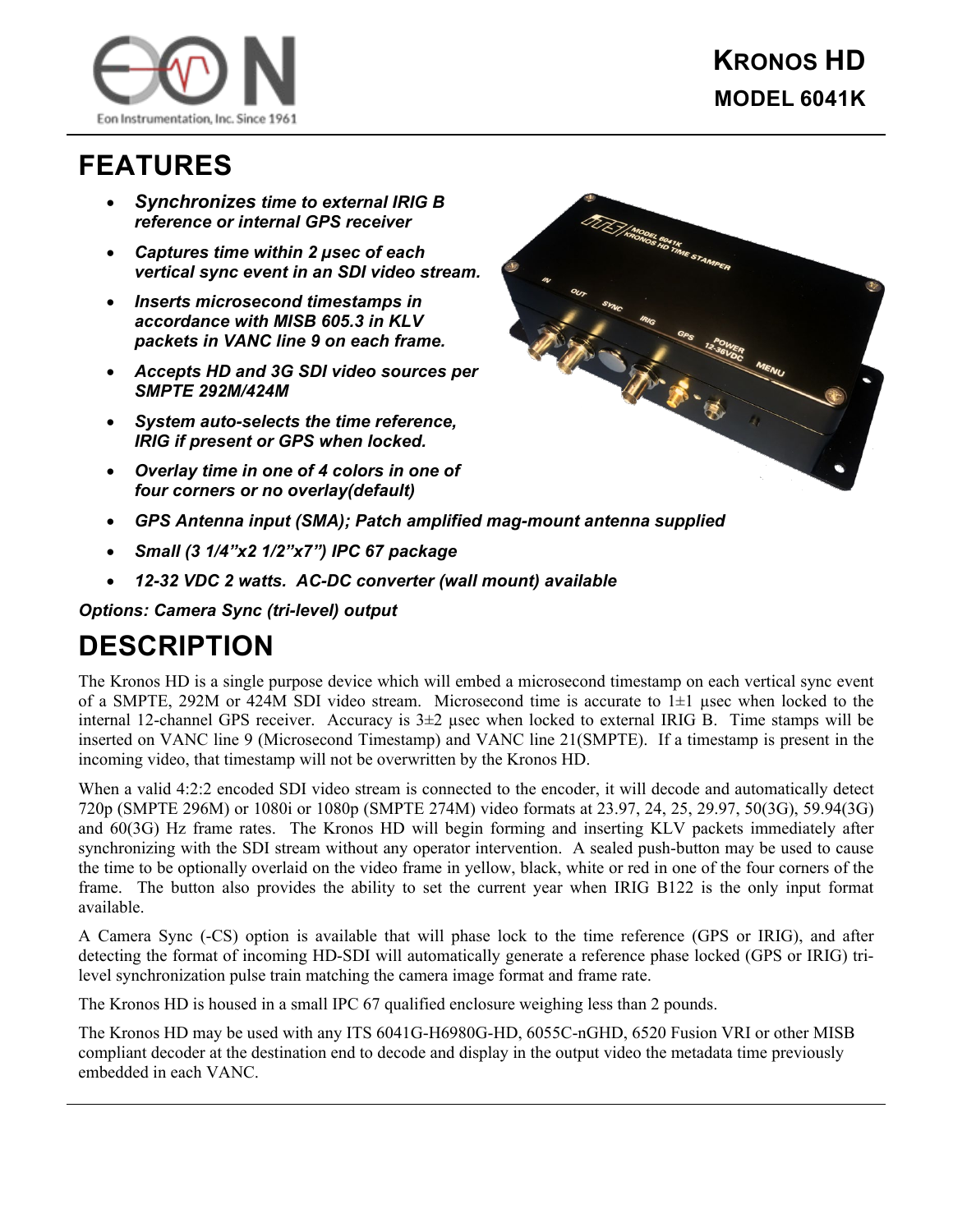

## **FEATURES**

- *Synchronizes time to external IRIG B reference or internal GPS receiver*
- *Captures time within 2 µsec of each vertical sync event in an SDI video stream.*
- *Inserts microsecond timestamps in accordance with MISB 605.3 in KLV packets in VANC line 9 on each frame.*
- *Accepts HD and 3G SDI video sources per SMPTE 292M/424M*
- *System auto-selects the time reference, IRIG if present or GPS when locked.*
- *Overlay time in one of 4 colors in one of four corners or no overlay(default)*



- *GPS Antenna input (SMA); Patch amplified mag-mount antenna supplied*
- *Small (3 1/4"x2 1/2"x7") IPC 67 package*
- *12-32 VDC 2 watts. AC-DC converter (wall mount) available*

*Options: Camera Sync (tri-level) output* 

## **DESCRIPTION**

The Kronos HD is a single purpose device which will embed a microsecond timestamp on each vertical sync event of a SMPTE, 292M or 424M SDI video stream. Microsecond time is accurate to  $1\pm1$  usec when locked to the internal 12-channel GPS receiver. Accuracy is  $3\pm 2$  usec when locked to external IRIG B. Time stamps will be inserted on VANC line 9 (Microsecond Timestamp) and VANC line 21(SMPTE). If a timestamp is present in the incoming video, that timestamp will not be overwritten by the Kronos HD.

When a valid 4:2:2 encoded SDI video stream is connected to the encoder, it will decode and automatically detect 720p (SMPTE 296M) or 1080i or 1080p (SMPTE 274M) video formats at 23.97, 24, 25, 29.97, 50(3G), 59.94(3G) and 60(3G) Hz frame rates. The Kronos HD will begin forming and inserting KLV packets immediately after synchronizing with the SDI stream without any operator intervention. A sealed push-button may be used to cause the time to be optionally overlaid on the video frame in yellow, black, white or red in one of the four corners of the frame. The button also provides the ability to set the current year when IRIG B122 is the only input format available.

A Camera Sync (-CS) option is available that will phase lock to the time reference (GPS or IRIG), and after detecting the format of incoming HD-SDI will automatically generate a reference phase locked (GPS or IRIG) trilevel synchronization pulse train matching the camera image format and frame rate.

The Kronos HD is housed in a small IPC 67 qualified enclosure weighing less than 2 pounds.

The Kronos HD may be used with any ITS 6041G-H6980G-HD, 6055C-nGHD, 6520 Fusion VRI or other MISB compliant decoder at the destination end to decode and display in the output video the metadata time previously embedded in each VANC.